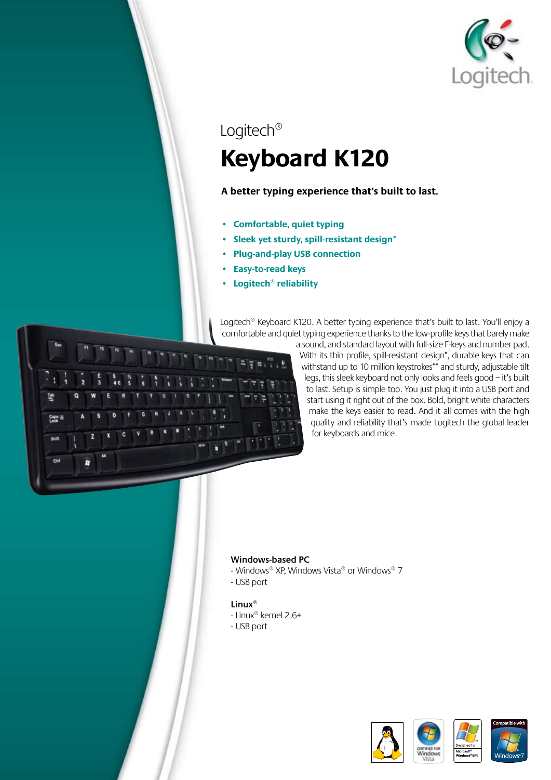

# Logitech® **Keyboard K120**

### **A better typing experience that's built to last.**

- **• Comfortable, quiet typing**
- **• Sleek yet sturdy, spill-resistant design\***
- **• Plug-and-play USB connection**
- **• Easy-to-read keys**
- **• Logitech® reliability**

Logitech<sup>®</sup> Keyboard K120. A better typing experience that's built to last. You'll enjoy a comfortable and quiet typing experience thanks to the low-profile keys that barely make



a sound, and standard layout with full-size F-keys and number pad. With its thin profile, spill-resistant design\*, durable keys that can withstand up to 10 million keystrokes\*\* and sturdy, adjustable tilt legs, this sleek keyboard not only looks and feels good – it's built to last. Setup is simple too. You just plug it into a USB port and start using it right out of the box. Bold, bright white characters make the keys easier to read. And it all comes with the high quality and reliability that's made Logitech the global leader for keyboards and mice.

#### **Windows-based PC**

- Windows® XP, Windows Vista® or Windows® 7
- USB port

#### **Linux®**

- Linux® kernel 2.6+
- USB port